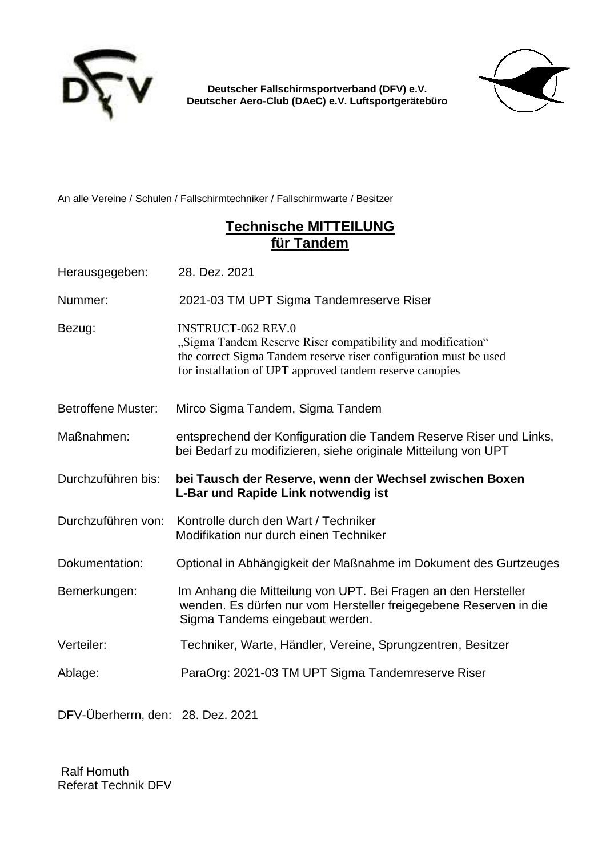

**Deutscher Fallschirmsportverband (DFV) e.V. Deutscher Aero-Club (DAeC) e.V. Luftsportgerätebüro** 



An alle Vereine / Schulen / Fallschirmtechniker / Fallschirmwarte / Besitzer

#### **Technische MITTEILUNG für Tandem**

Herausgegeben: 28. Dez. 2021

Nummer: 2021-03 TM UPT Sigma Tandemreserve Riser

Bezug: INSTRUCT-062 REV.0

"Sigma Tandem Reserve Riser compatibility and modification" the correct Sigma Tandem reserve riser configuration must be used for installation of UPT approved tandem reserve canopies

- Betroffene Muster: Mirco Sigma Tandem, Sigma Tandem
- Maßnahmen: entsprechend der Konfiguration die Tandem Reserve Riser und Links, bei Bedarf zu modifizieren, siehe originale Mitteilung von UPT

Durchzuführen bis: **bei Tausch der Reserve, wenn der Wechsel zwischen Boxen L-Bar und Rapide Link notwendig ist**

- Durchzuführen von: Kontrolle durch den Wart / Techniker Modifikation nur durch einen Techniker
- Dokumentation: Optional in Abhängigkeit der Maßnahme im Dokument des Gurtzeuges
- Bemerkungen: Im Anhang die Mitteilung von UPT. Bei Fragen an den Hersteller wenden. Es dürfen nur vom Hersteller freigegebene Reserven in die Sigma Tandems eingebaut werden.
- Verteiler: Techniker, Warte, Händler, Vereine, Sprungzentren, Besitzer
- Ablage: ParaOrg: 2021-03 TM UPT Sigma Tandemreserve Riser

DFV-Überherrn, den: 28. Dez. 2021

 Ralf Homuth Referat Technik DFV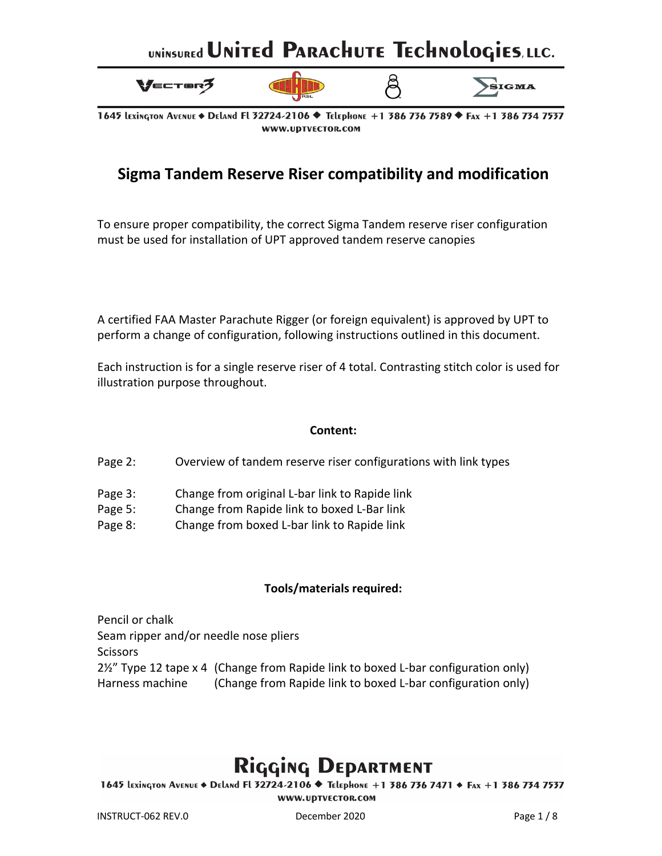

1645 LEXINGTON AVENUE ♦ DELAND FL 32724-2106 ♦ TELEPHONE +1 386 736 7589 ♦ Fax +1 386 734 7537 WWW.UDTVECTOR.COM

#### **Sigma Tandem Reserve Riser compatibility and modification**

To ensure proper compatibility, the correct Sigma Tandem reserve riser configuration must be used for installation of UPT approved tandem reserve canopies

A certified FAA Master Parachute Rigger (or foreign equivalent) is approved by UPT to perform a change of configuration, following instructions outlined in this document.

Each instruction is for a single reserve riser of 4 total. Contrasting stitch color is used for illustration purpose throughout.

#### **Content:**

Page 2: Overview of tandem reserve riser configurations with link types

- Page 3: Change from original L-bar link to Rapide link
- Page 5: Change from Rapide link to boxed L-Bar link
- Page 8: Change from boxed L-bar link to Rapide link

#### **Tools/materials required:**

Pencil or chalk Seam ripper and/or needle nose pliers **Scissors** 2½" Type 12 tape x 4 (Change from Rapide link to boxed L-bar configuration only) Harness machine (Change from Rapide link to boxed L-bar configuration only)

### Rigging DEPARTMENT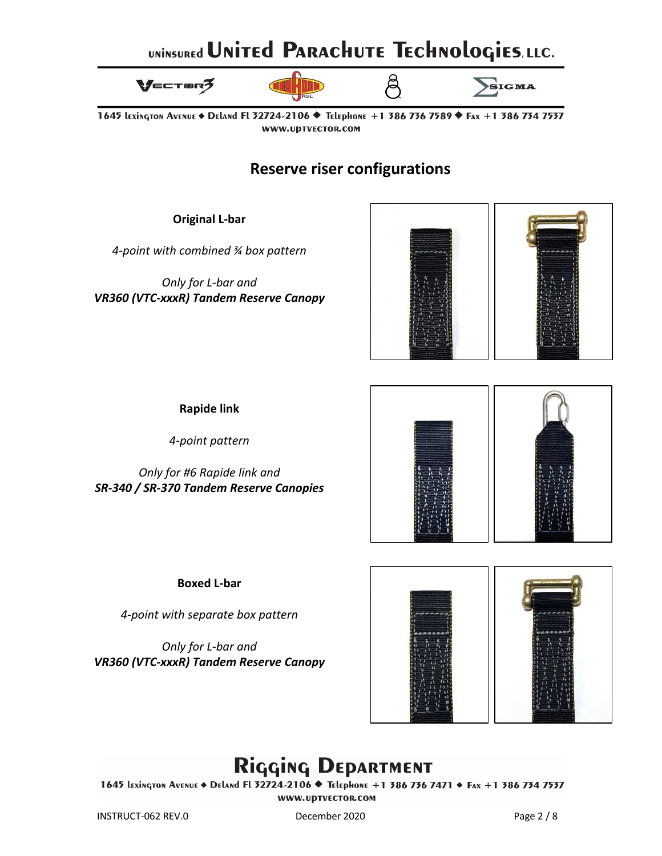

1645 Lexington Avenue ♦ Deland Fl 32724-2106 ♦ Telephone +1 386 736 7589 ♦ Fax +1 386 734 7537 WWW.UDTVECTOR.COM

**Reserve riser configurations**

**Original L-bar**

*4-point with combined ¾ box pattern* 

*Only for L-bar and VR360 (VTC-xxxR) Tandem Reserve Canopy*



**Rapide link**

*4-point pattern* 

*Only for #6 Rapide link and SR-340 / SR-370 Tandem Reserve Canopies*



**Boxed L-bar**

*4-point with separate box pattern* 

*Only for L-bar and VR360 (VTC-xxxR) Tandem Reserve Canopy*



## Rigging DEPARTMENT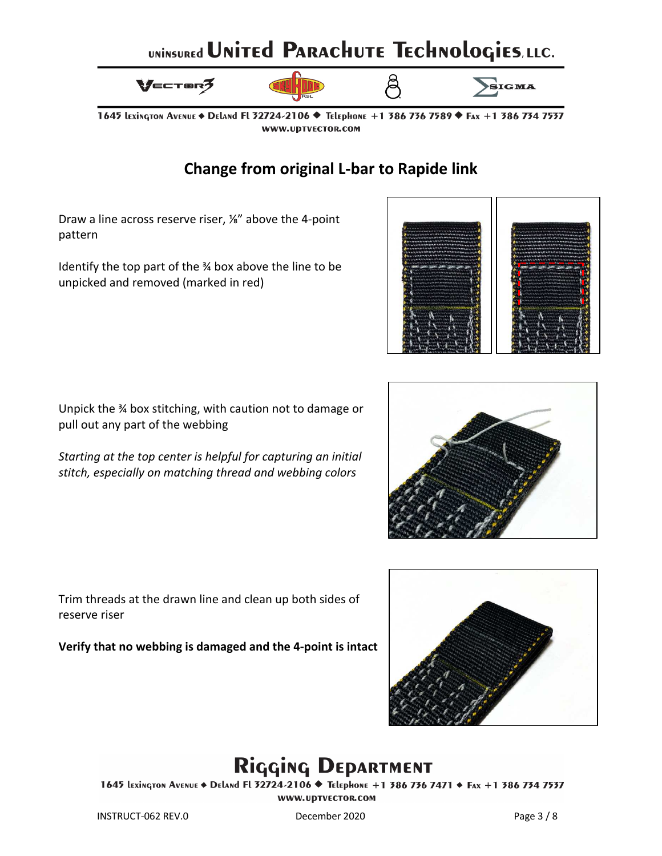



1645 LEXINGTON AVENUE ♦ DELAND FL 32724-2106 ♦ TELEPHONE +1 386 736 7589 ♦ Fax +1 386 734 7537 WWW.UDTVECTOR.COM

#### **Change from original L-bar to Rapide link**

Draw a line across reserve riser, ⅛" above the 4-point pattern

Identify the top part of the ¾ box above the line to be unpicked and removed (marked in red)



Unpick the ¾ box stitching, with caution not to damage or pull out any part of the webbing

*Starting at the top center is helpful for capturing an initial stitch, especially on matching thread and webbing colors* 



Trim threads at the drawn line and clean up both sides of reserve riser

**Verify that no webbing is damaged and the 4-point is intact**



## Rigging DEPARTMENT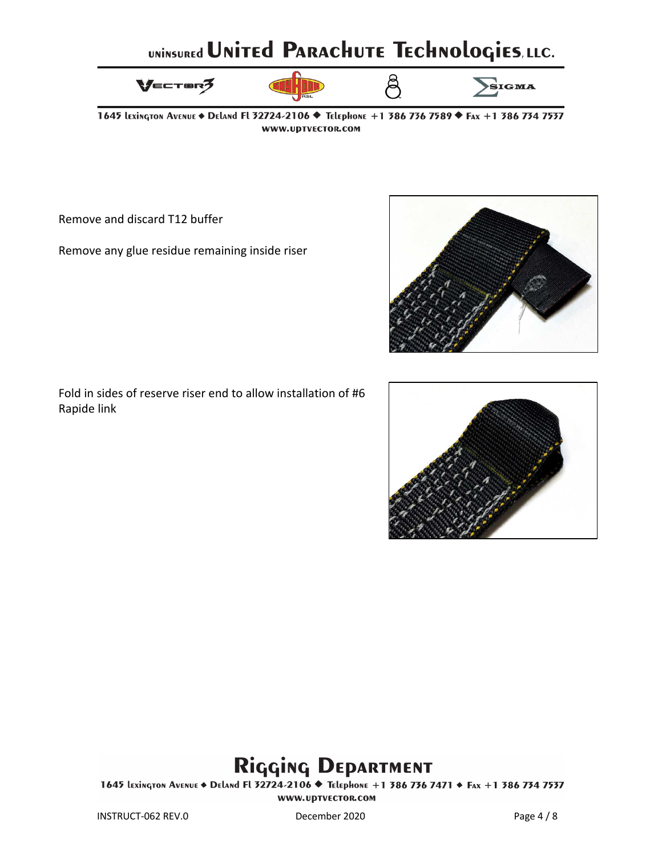

1645 Lexington Avenue ♦ Deland Fl 32724-2106 ♦ Telephone +1 386 736 7589 ♦ Fax +1 386 734 7537 WWW.UDTVECTOR.COM

Remove and discard T12 buffer

Remove any glue residue remaining inside riser



Fold in sides of reserve riser end to allow installation of #6 Rapide link



### Rigging DEPARTMENT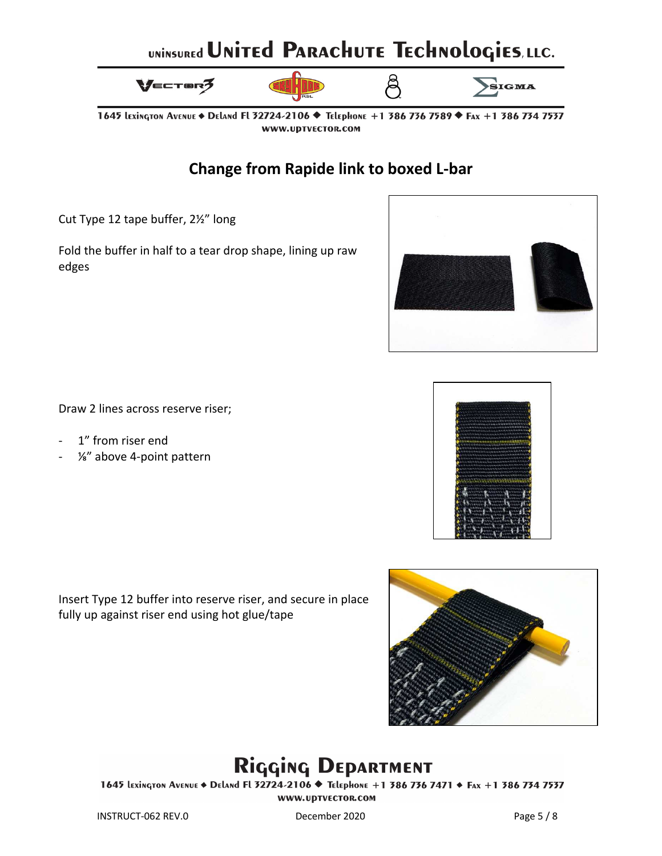



1645 Lexington Avenue ♦ Deland Fl 32724-2106 ♦ Telephone +1 386 736 7589 ♦ Fax +1 386 734 7537 WWW.UDTVECTOR.COM

#### **Change from Rapide link to boxed L-bar**

Cut Type 12 tape buffer, 2½" long

Fold the buffer in half to a tear drop shape, lining up raw edges



Draw 2 lines across reserve riser;

- 1" from riser end
- ⅛" above 4-point pattern

Insert Type 12 buffer into reserve riser, and secure in place fully up against riser end using hot glue/tape



## Rigging DEPARTMENT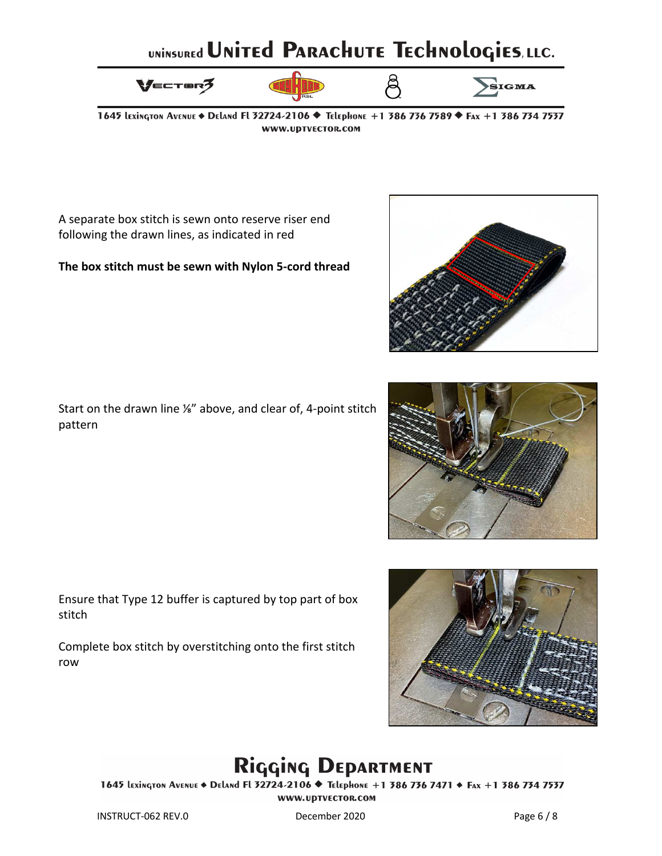

1645 Lexington Avenue ♦ Deland Fl 32724-2106 ♦ Telephone +1 386 736 7589 ♦ Fax +1 386 734 7537 WWW.UDTVECTOR.COM

A separate box stitch is sewn onto reserve riser end following the drawn lines, as indicated in red

#### **The box stitch must be sewn with Nylon 5-cord thread**

Start on the drawn line ⅛" above, and clear of, 4-point stitch pattern

Ensure that Type 12 buffer is captured by top part of box stitch

Complete box stitch by overstitching onto the first stitch row

![](_page_6_Picture_8.jpeg)

# Rigging DEPARTMENT

![](_page_6_Picture_14.jpeg)

![](_page_6_Picture_15.jpeg)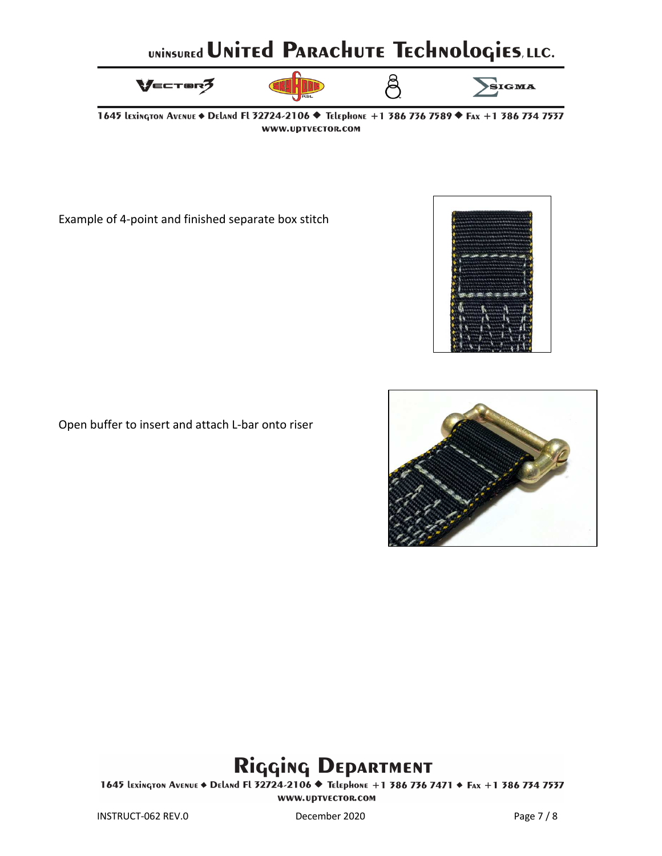![](_page_7_Figure_0.jpeg)

![](_page_7_Figure_1.jpeg)

1645 Lexington Avenue ♦ Deland Fl 32724-2106 ♦ Telephone +1 386 736 7589 ♦ Fax +1 386 734 7537 WWW.UDTVECTOR.COM

Example of 4-point and finished separate box stitch

![](_page_7_Picture_4.jpeg)

Open buffer to insert and attach L-bar onto riser

![](_page_7_Picture_6.jpeg)

### Rigging DEPARTMENT